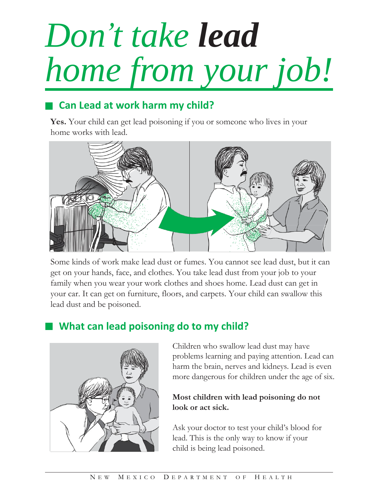# *Don 't take lead home from your job!*

# **Can Lead at work harm my child?**

**Yes.** Your child can get lead poisoning if you or someone who lives in your home works with lead.



Some kinds of work make lead dust or fumes. You cannot see lead dust, but it can get on your hands, face, and clothes. You take lead dust from your job to your family when you wear your work clothes and shoes home. Lead dust can get in your car. It can get on furniture, floors, and carpets. Your child can swallow this lead dust and be poisoned.

## **What can lead poisoning do to my child?**



Children who swallow lead dust may have problems learning and paying attention. Lead can harm the brain, nerves and kidneys. Lead is even more dangerous for children under the age of six.

## **Most children with lead poisoning do not look or act sick.**

Ask your doctor to test your child's blood for lead. This is the only way to know if your child is being lead poisoned.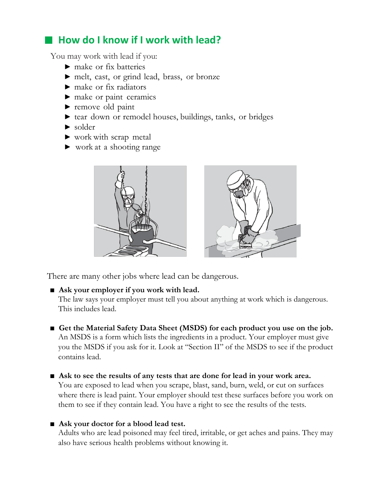## **How do I know if I work with lead?**

You may work with lead if you:

- $\blacktriangleright$  make or fix batteries
- ▶ melt, cast, or grind lead, brass, or bronze
- ▶ make or fix radiators
- ▶ make or paint ceramics
- ▶ remove old paint
- ▶ tear down or remodel houses, buildings, tanks, or bridges
- $\blacktriangleright$  solder
- ▶ work with scrap metal
- ▶ work at a shooting range



There are many other jobs where lead can be dangerous.

#### ■ Ask your employer if you work with lead.

The law says your employer must tell you about anything at work which is dangerous. This includes lead.

- Get the Material Safety Data Sheet (MSDS) for each product you use on the job. An MSDS is a form which lists the ingredients in a product. Your employer must give you the MSDS if you ask for it. Look at "Section II" of the MSDS to see if the product contains lead.
- Ask to see the results of any tests that are done for lead in your work area. You are exposed to lead when you scrape, blast, sand, burn, weld, or cut on surfaces where there is lead paint. Your employer should test these surfaces before you work on them to see if they contain lead. You have a right to see the results of the tests.

## ■ Ask your doctor for a blood lead test.

Adults who are lead poisoned may feel tired, irritable, or get aches and pains. They may also have serious health problems without knowing it.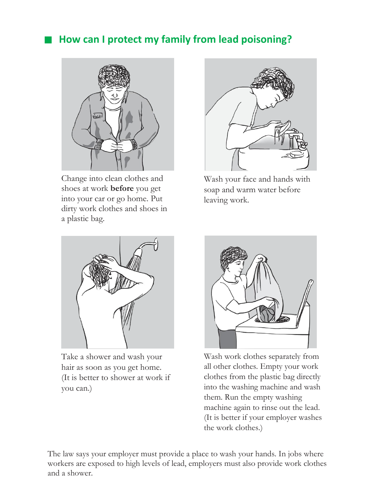## **How can I protect my family from lead poisoning?**



Change into clean clothes and shoes at work **before** you get into your car or go home. Put dirty work clothes and shoes in a plastic bag.



Wash your face and hands with soap and warm water before leaving work.



Take a shower and wash your hair as soon as you get home. (It is better to shower at work if you can.)



Wash work clothes separately from all other clothes. Empty your work clothes from the plastic bag directly into the washing machine and wash them. Run the empty washing machine again to rinse out the lead. (It is better if your employer washes the work clothes.)

The law says your employer must provide a place to wash your hands. In jobs where workers are exposed to high levels of lead, employers must also provide work clothes and a shower.